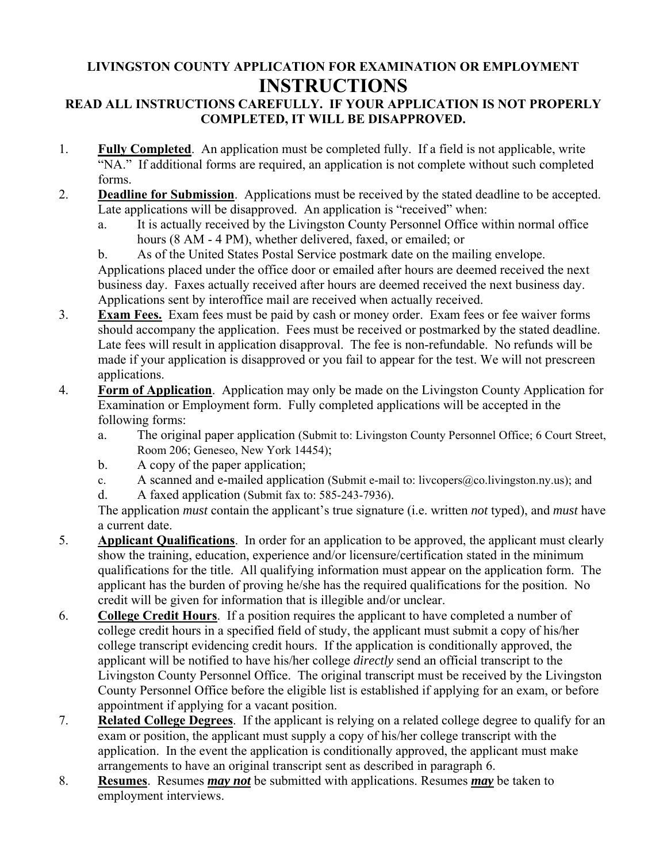## **LIVINGSTON COUNTY APPLICATION FOR EXAMINATION OR EMPLOYMENT INSTRUCTIONS**

#### **READ ALL INSTRUCTIONS CAREFULLY. IF YOUR APPLICATION IS NOT PROPERLY COMPLETED, IT WILL BE DISAPPROVED.**

- 1. **Fully Completed**. An application must be completed fully. If a field is not applicable, write "NA." If additional forms are required, an application is not complete without such completed forms.
- 2. **Deadline for Submission**. Applications must be received by the stated deadline to be accepted. Late applications will be disapproved. An application is "received" when:
	- a. It is actually received by the Livingston County Personnel Office within normal office hours (8 AM - 4 PM), whether delivered, faxed, or emailed; or
	- b. As of the United States Postal Service postmark date on the mailing envelope. Applications placed under the office door or emailed after hours are deemed received the next business day. Faxes actually received after hours are deemed received the next business day. Applications sent by interoffice mail are received when actually received.
- 3. **Exam Fees.** Exam fees must be paid by cash or money order. Exam fees or fee waiver forms should accompany the application. Fees must be received or postmarked by the stated deadline. Late fees will result in application disapproval. The fee is non-refundable. No refunds will be made if your application is disapproved or you fail to appear for the test. We will not prescreen applications.
- 4. **Form of Application**. Application may only be made on the Livingston County Application for Examination or Employment form. Fully completed applications will be accepted in the following forms:
	- a. The original paper application (Submit to: Livingston County Personnel Office; 6 Court Street, Room 206; Geneseo, New York 14454);
	- b. A copy of the paper application;
	- c. A scanned and e-mailed application (Submit e-mail to: livcopers@co.livingston.ny.us); and
	- d. A faxed application (Submit fax to: 585-243-7936).

The application *must* contain the applicant's true signature (i.e. written *not* typed), and *must* have a current date.

- 5. **Applicant Qualifications**. In order for an application to be approved, the applicant must clearly show the training, education, experience and/or licensure/certification stated in the minimum qualifications for the title. All qualifying information must appear on the application form. The applicant has the burden of proving he/she has the required qualifications for the position. No credit will be given for information that is illegible and/or unclear.
- 6. **College Credit Hours**. If a position requires the applicant to have completed a number of college credit hours in a specified field of study, the applicant must submit a copy of his/her college transcript evidencing credit hours. If the application is conditionally approved, the applicant will be notified to have his/her college *directly* send an official transcript to the Livingston County Personnel Office. The original transcript must be received by the Livingston County Personnel Office before the eligible list is established if applying for an exam, or before appointment if applying for a vacant position.
- 7. **Related College Degrees**. If the applicant is relying on a related college degree to qualify for an exam or position, the applicant must supply a copy of his/her college transcript with the application. In the event the application is conditionally approved, the applicant must make arrangements to have an original transcript sent as described in paragraph 6.
- 8. **Resumes**. Resumes *may not* be submitted with applications. Resumes *may* be taken to employment interviews.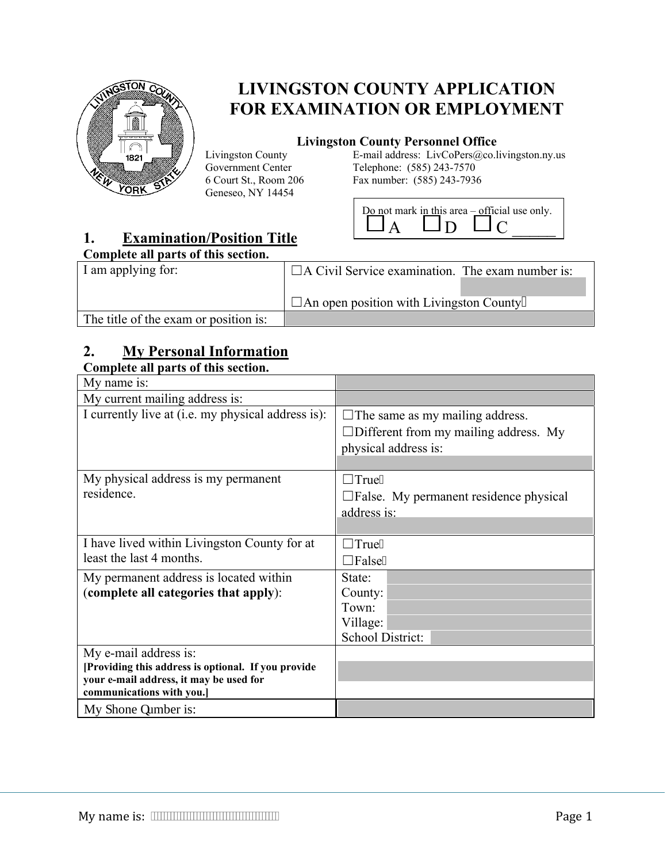

# **LIVINGSTON COUNTY APPLICATION FOR EXAMINATION OR EMPLOYMENT**

#### **Livingston County Personnel Office**

Livingston County Government Center 6 Court St., Room 206 Geneseo, NY 14454

E-mail address: LivCoPers@co.livingston.ny.us Telephone: (585) 243-7570 Fax number: (585) 243-7936



## **1. Examination/Position Title**

#### **Complete all parts of this section.**

| Complete an parts of this secuon.     |                                                         |  |
|---------------------------------------|---------------------------------------------------------|--|
| I am applying for:                    | $\Box$ A Civil Service examination. The exam number is: |  |
|                                       |                                                         |  |
|                                       | $\Box$ An open position with Livingston County          |  |
| The title of the exam or position is: |                                                         |  |

## **2. My Personal Information**

#### **Complete all parts of this section.**

| My name is:                                                          |                                                  |
|----------------------------------------------------------------------|--------------------------------------------------|
| My current mailing address is:                                       |                                                  |
| I currently live at (i.e. my physical address is):                   | $\Box$ The same as my mailing address.           |
|                                                                      | $\Box$ Different from my mailing address. My     |
|                                                                      | physical address is:                             |
|                                                                      |                                                  |
| My physical address is my permanent                                  | $\Box$ True0                                     |
| residence.                                                           | $\square$ False. My permanent residence physical |
|                                                                      | address is:                                      |
|                                                                      |                                                  |
| I have lived within Livingston County for at                         | $\Box$ True0                                     |
| least the last 4 months.                                             | $\Box$ False0                                    |
| My permanent address is located within                               | State:                                           |
| (complete all categories that apply):                                | County:                                          |
|                                                                      | Town:                                            |
|                                                                      | Village:                                         |
|                                                                      | School District:                                 |
| My e-mail address is:                                                |                                                  |
| [Providing this address is optional. If you provide                  |                                                  |
| your e-mail address, it may be used for<br>communications with you.] |                                                  |
| My r hone pumber is:                                                 |                                                  |
|                                                                      |                                                  |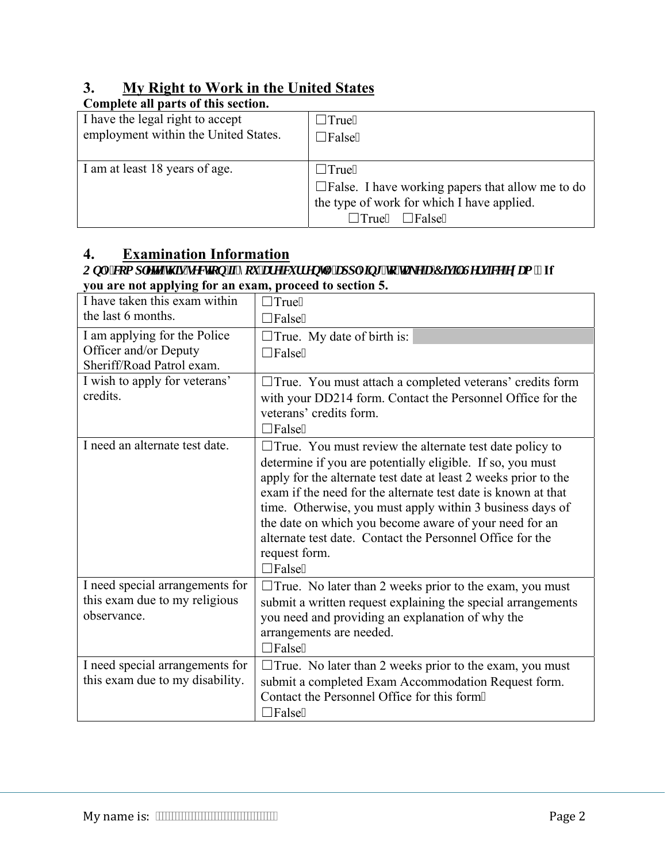## **3. My Right to Work in the United States**

| Complete all parts of this section.  |                                                            |
|--------------------------------------|------------------------------------------------------------|
| I have the legal right to accept     | $\Box$ True0                                               |
| employment within the United States. | $\Box$ False0                                              |
|                                      |                                                            |
| I am at least 18 years of age.       | $\Box$ True0                                               |
|                                      | $\square$ False. I have working papers that allow me to do |
|                                      | the type of work for which I have applied.                 |
|                                      | $\Box$ True0 $\Box$ False0                                 |

## **4. Examination Information**

#### *2QO\FRPSOHWHWKLVVHFWLRQLI\RXDUHFXUUHQWO\DSSO\LQJWRWDNHD&LYLO6HUYLFHH[DP* **If you are not applying for an exam, proceed to section 5.**

| the last 6 months.<br>$\Box$ False0                                                               |  |
|---------------------------------------------------------------------------------------------------|--|
| I am applying for the Police<br>$\Box$ True. My date of birth is:                                 |  |
| Officer and/or Deputy<br>$\Box$ False0                                                            |  |
| Sheriff/Road Patrol exam.                                                                         |  |
| I wish to apply for veterans'<br>$\Box$ True. You must attach a completed veterans' credits form  |  |
| credits.<br>with your DD214 form. Contact the Personnel Office for the                            |  |
| veterans' credits form.                                                                           |  |
| $\Box$ False0                                                                                     |  |
| I need an alternate test date.<br>$\Box$ True. You must review the alternate test date policy to  |  |
| determine if you are potentially eligible. If so, you must                                        |  |
| apply for the alternate test date at least 2 weeks prior to the                                   |  |
| exam if the need for the alternate test date is known at that                                     |  |
| time. Otherwise, you must apply within 3 business days of                                         |  |
| the date on which you become aware of your need for an                                            |  |
| alternate test date. Contact the Personnel Office for the                                         |  |
| request form.                                                                                     |  |
| $\Box$ False0                                                                                     |  |
| I need special arrangements for<br>$\Box$ True. No later than 2 weeks prior to the exam, you must |  |
| this exam due to my religious<br>submit a written request explaining the special arrangements     |  |
| observance.<br>you need and providing an explanation of why the                                   |  |
| arrangements are needed.                                                                          |  |
| $\Box$ False0                                                                                     |  |
| I need special arrangements for<br>$\Box$ True. No later than 2 weeks prior to the exam, you must |  |
| this exam due to my disability.<br>submit a completed Exam Accommodation Request form.            |  |
| Contact the Personnel Office for this form0                                                       |  |
| $\Box$ False0                                                                                     |  |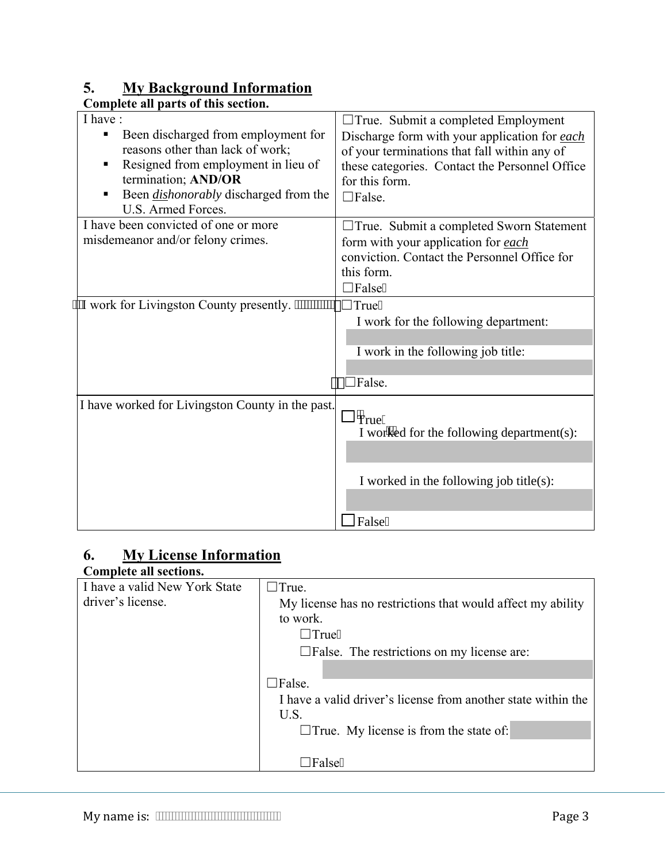## **5. My Background Information**

| Complete all parts of this section.                                                                                                                                                                                              |                                                                                                                                                                                                                                  |
|----------------------------------------------------------------------------------------------------------------------------------------------------------------------------------------------------------------------------------|----------------------------------------------------------------------------------------------------------------------------------------------------------------------------------------------------------------------------------|
| I have:<br>Been discharged from employment for<br>٠<br>reasons other than lack of work;<br>Resigned from employment in lieu of<br>termination; AND/OR<br>Been <i>dishonorably</i> discharged from the<br>п<br>U.S. Armed Forces. | $\Box$ True. Submit a completed Employment<br>Discharge form with your application for each<br>of your terminations that fall within any of<br>these categories. Contact the Personnel Office<br>for this form.<br>$\Box$ False. |
| I have been convicted of one or more<br>misdemeanor and/or felony crimes.                                                                                                                                                        | $\Box$ True. Submit a completed Sworn Statement<br>form with your application for each<br>conviction. Contact the Personnel Office for<br>this form.<br>$\Box$ False0                                                            |
| "I work for Livingston County presently.                                                                                                                                                                                         | $\Box$ True0<br>I work for the following department:<br>I work in the following job title:<br>$\Box$ False.                                                                                                                      |
| I have worked for Livingston County in the past.                                                                                                                                                                                 | $\Box$ "rue(<br>I worked for the following department(s):<br>I worked in the following job title(s):<br>False(                                                                                                                   |

## **6. My License Information**

| Complete all sections.        |                                                               |
|-------------------------------|---------------------------------------------------------------|
| I have a valid New York State | $\Box$ True.                                                  |
| driver's license.             | My license has no restrictions that would affect my ability   |
|                               | to work.                                                      |
|                               | $\Box$ True0                                                  |
|                               | $\square$ False. The restrictions on my license are:          |
|                               |                                                               |
|                               | $\Box$ False.                                                 |
|                               | I have a valid driver's license from another state within the |
|                               | U.S.                                                          |
|                               | $\Box$ True. My license is from the state of:                 |
|                               |                                                               |
|                               | <b>Tralse0</b>                                                |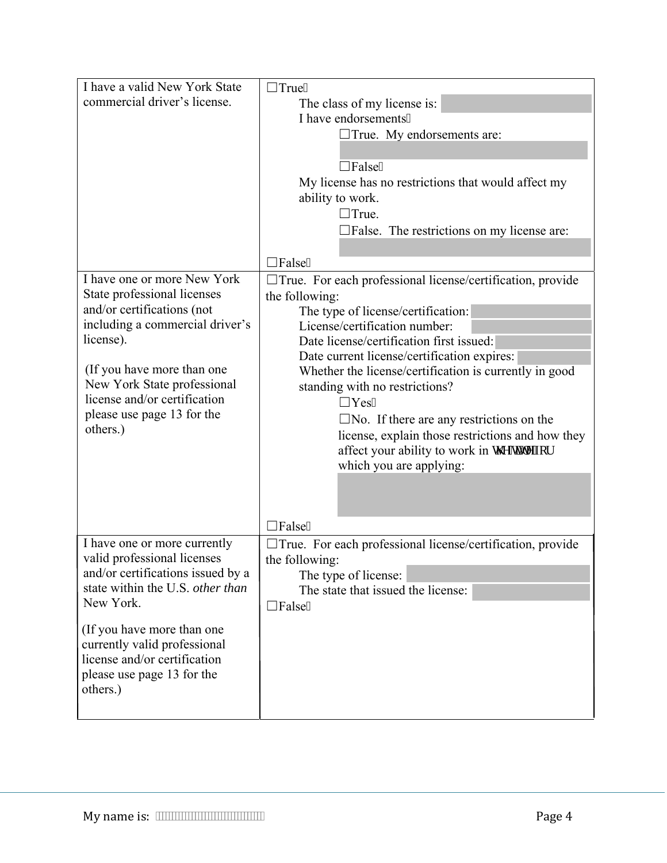| I have a valid New York State                 | $\Box$ True0                                                 |
|-----------------------------------------------|--------------------------------------------------------------|
| commercial driver's license.                  | The class of my license is:                                  |
|                                               | I have endorsements0                                         |
|                                               | $\Box$ True. My endorsements are:                            |
|                                               |                                                              |
|                                               | $\Box$ False0                                                |
|                                               | My license has no restrictions that would affect my          |
|                                               | ability to work.                                             |
|                                               | $\Box$ True.                                                 |
|                                               | $\Box$ False. The restrictions on my license are:            |
|                                               |                                                              |
|                                               | False <sub>0</sub>                                           |
| I have one or more New York                   | □ True. For each professional license/certification, provide |
| State professional licenses                   | the following:                                               |
| and/or certifications (not                    | The type of license/certification:                           |
| including a commercial driver's               | License/certification number:                                |
| license).                                     | Date license/certification first issued:                     |
|                                               | Date current license/certification expires:                  |
| (If you have more than one                    | Whether the license/certification is currently in good       |
| New York State professional                   | standing with no restrictions?                               |
| license and/or certification                  | $\Box$ Yes0                                                  |
| please use page 13 for the                    | $\Box$ No. If there are any restrictions on the              |
| others.)                                      | license, explain those restrictions and how they             |
|                                               | affect your ability to work in y g'warg'hat                  |
|                                               | which you are applying:                                      |
|                                               |                                                              |
|                                               |                                                              |
|                                               |                                                              |
|                                               | False <sub>0</sub>                                           |
| I have one or more currently                  | □ True. For each professional license/certification, provide |
| valid professional licenses                   | the following:                                               |
| and/or certifications issued by a             | The type of license:                                         |
| state within the U.S. other than<br>New York. | The state that issued the license:                           |
|                                               | $\exists$ False0                                             |
| (If you have more than one                    |                                                              |
| currently valid professional                  |                                                              |
| license and/or certification                  |                                                              |
| please use page 13 for the                    |                                                              |
| others.)                                      |                                                              |
|                                               |                                                              |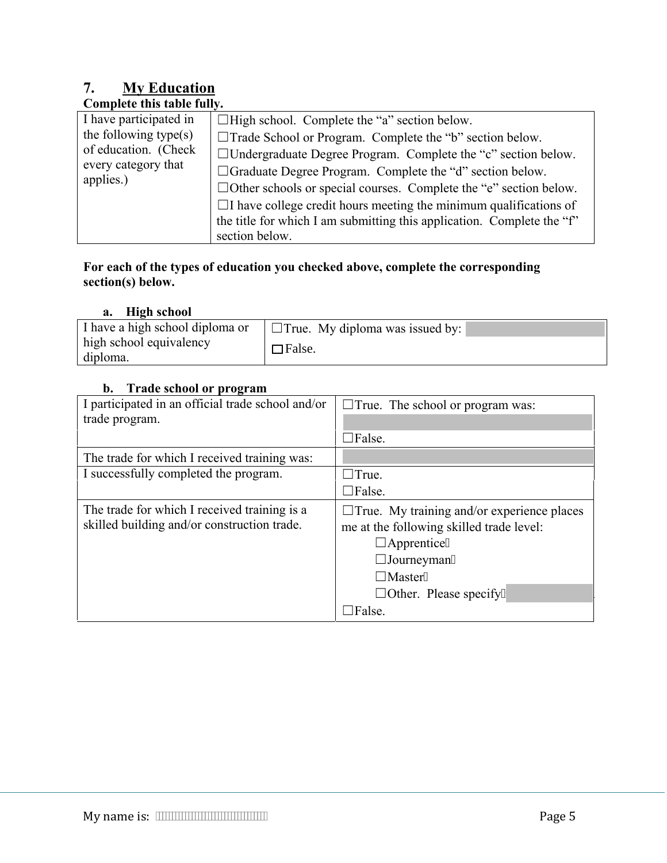# **7. My Education**

| Complete this table fully.                                                                                  |                                                                                                                                                                                                                                                                                                                                     |
|-------------------------------------------------------------------------------------------------------------|-------------------------------------------------------------------------------------------------------------------------------------------------------------------------------------------------------------------------------------------------------------------------------------------------------------------------------------|
| I have participated in<br>the following type(s)<br>of education. (Check<br>every category that<br>applies.) | $\Box$ High school. Complete the "a" section below.<br>$\Box$ Trade School or Program. Complete the "b" section below.<br>□ Undergraduate Degree Program. Complete the "c" section below.<br>□ Graduate Degree Program. Complete the "d" section below.<br>$\Box$ Other schools or special courses. Complete the "e" section below. |
|                                                                                                             | $\Box$ I have college credit hours meeting the minimum qualifications of<br>the title for which I am submitting this application. Complete the "f"<br>section below.                                                                                                                                                                |

#### **For each of the types of education you checked above, complete the corresponding section(s) below.**

#### **a. High school**

| I have a high school diploma or | $\Box$ True. My diploma was issued by: |
|---------------------------------|----------------------------------------|
| high school equivalency         | $\Box$ False.                          |
| diploma.                        |                                        |

#### **b. Trade school or program**

| I participated in an official trade school and/or | $\Box$ True. The school or program was:           |
|---------------------------------------------------|---------------------------------------------------|
| trade program.                                    |                                                   |
|                                                   | $\Box$ False.                                     |
| The trade for which I received training was:      |                                                   |
| I successfully completed the program.             | $\Box$ True.                                      |
|                                                   | $\Box$ False.                                     |
| The trade for which I received training is a      | $\Box$ True. My training and/or experience places |
| skilled building and/or construction trade.       | me at the following skilled trade level:          |
|                                                   | $\Box$ Apprentice0                                |
|                                                   | $\Box$ Journeyman0                                |
|                                                   | $\Box$ Master0                                    |
|                                                   | $\Box$ Other. Please specify-                     |
|                                                   | $\Box$ False.                                     |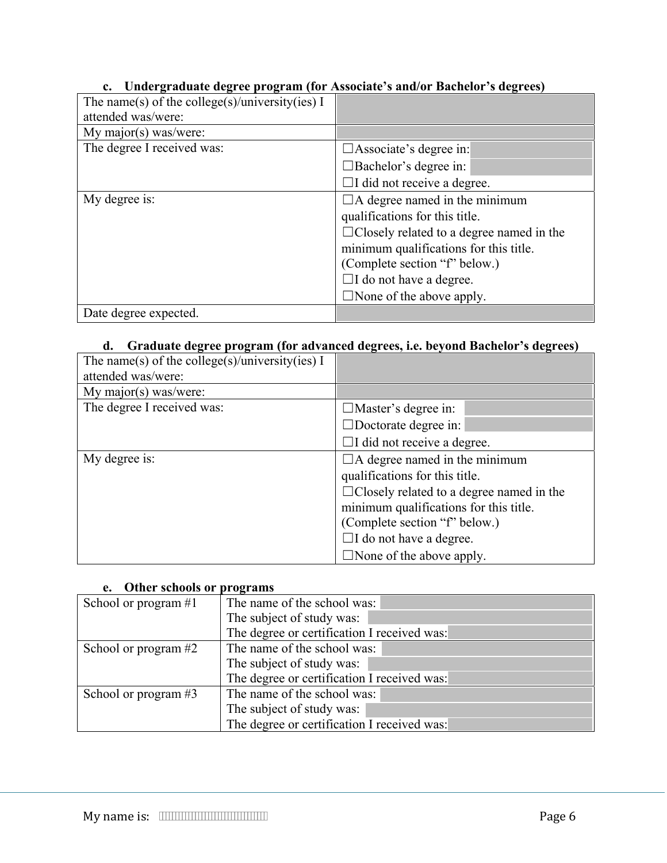#### **c. Undergraduate degree program (for Associate's and/or Bachelor's degrees)**

| The name(s) of the college(s)/university(ies) I |                                                 |
|-------------------------------------------------|-------------------------------------------------|
| attended was/were:                              |                                                 |
| My major(s) was/were:                           |                                                 |
| The degree I received was:                      | $\Box$ Associate's degree in:                   |
|                                                 | $\Box$ Bachelor's degree in:                    |
|                                                 | $\Box$ I did not receive a degree.              |
| My degree is:                                   | $\Box$ A degree named in the minimum            |
|                                                 | qualifications for this title.                  |
|                                                 | $\Box$ Closely related to a degree named in the |
|                                                 | minimum qualifications for this title.          |
|                                                 | (Complete section "f" below.)                   |
|                                                 | $\Box$ I do not have a degree.                  |
|                                                 | $\Box$ None of the above apply.                 |
| Date degree expected.                           |                                                 |

#### **d. Graduate degree program (for advanced degrees, i.e. beyond Bachelor's degrees)**

| The name(s) of the college(s)/university(ies) I |                                                 |
|-------------------------------------------------|-------------------------------------------------|
| attended was/were:                              |                                                 |
| My major(s) was/were:                           |                                                 |
| The degree I received was:                      | $\Box$ Master's degree in:                      |
|                                                 | $\Box$ Doctorate degree in:                     |
|                                                 | $\Box$ I did not receive a degree.              |
| My degree is:                                   | $\Box$ A degree named in the minimum            |
|                                                 | qualifications for this title.                  |
|                                                 | $\Box$ Closely related to a degree named in the |
|                                                 | minimum qualifications for this title.          |
|                                                 | (Complete section "f" below.)                   |
|                                                 | $\Box$ I do not have a degree.                  |
|                                                 | $\Box$ None of the above apply.                 |

#### **e. Other schools or programs**

| School or program $#1$ | The name of the school was:                 |
|------------------------|---------------------------------------------|
|                        | The subject of study was:                   |
|                        | The degree or certification I received was: |
| School or program #2   | The name of the school was:                 |
|                        | The subject of study was:                   |
|                        | The degree or certification I received was: |
| School or program #3   | The name of the school was:                 |
|                        | The subject of study was:                   |
|                        | The degree or certification I received was: |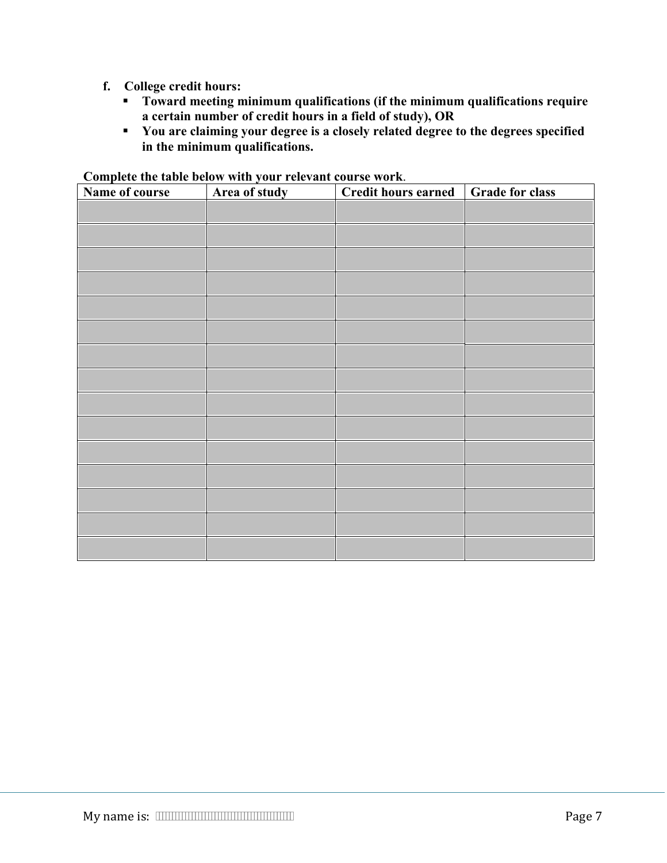- **f. College credit hours:** 
	- **Toward meeting minimum qualifications (if the minimum qualifications require a certain number of credit hours in a field of study), OR**
	- **You are claiming your degree is a closely related degree to the degrees specified in the minimum qualifications.**

| Name of course | Area of study | <b>Credit hours earned</b> | <b>Grade for class</b> |
|----------------|---------------|----------------------------|------------------------|
|                |               |                            |                        |
|                |               |                            |                        |
|                |               |                            |                        |
|                |               |                            |                        |
|                |               |                            |                        |
|                |               |                            |                        |
|                |               |                            |                        |
|                |               |                            |                        |
|                |               |                            |                        |
|                |               |                            |                        |
|                |               |                            |                        |
|                |               |                            |                        |
|                |               |                            |                        |
|                |               |                            |                        |
|                |               |                            |                        |

#### **Complete the table below with your relevant course work**.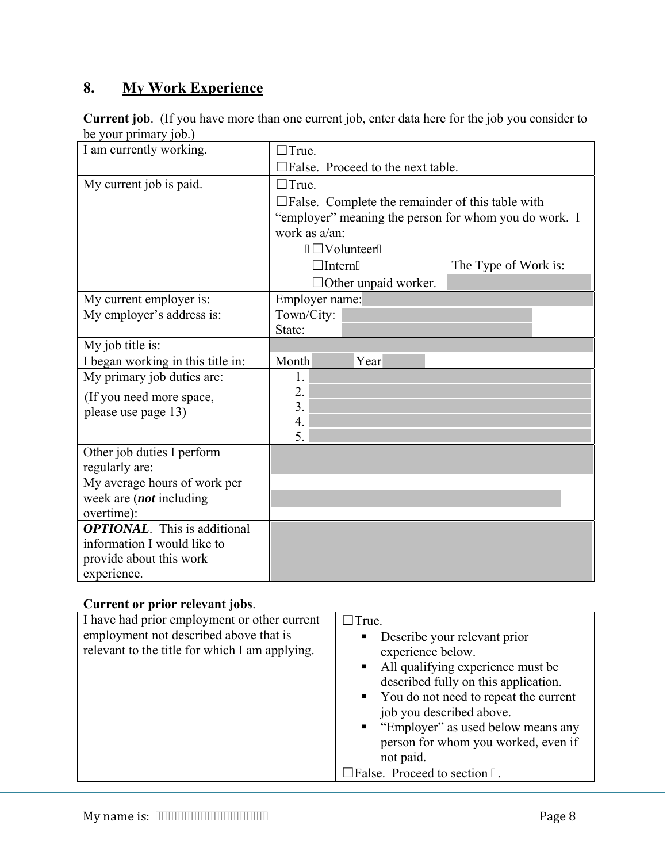# **8. My Work Experience**

|                       | <b>Current job.</b> (If you have more than one current job, enter data here for the job you consider to |
|-----------------------|---------------------------------------------------------------------------------------------------------|
| be your primary job.) |                                                                                                         |

| I am currently working.             | $\Box$ True.           |                                                            |                      |  |
|-------------------------------------|------------------------|------------------------------------------------------------|----------------------|--|
|                                     |                        | $\square$ False. Proceed to the next table.                |                      |  |
| My current job is paid.             | $\Box$ True.           |                                                            |                      |  |
|                                     |                        | $\square$ False. Complete the remainder of this table with |                      |  |
|                                     |                        | "employer" meaning the person for whom you do work. I      |                      |  |
|                                     | work as a/an:          |                                                            |                      |  |
|                                     |                        | " $\Box$ Volunteer0                                        |                      |  |
|                                     | $\Box$ Intern0         |                                                            | The Type of Work is: |  |
|                                     |                        | $\Box$ Other unpaid worker.                                |                      |  |
| My current employer is:             | Employer name:         |                                                            |                      |  |
| My employer's address is:           | Town/City:             |                                                            |                      |  |
|                                     | State:                 |                                                            |                      |  |
| My job title is:                    |                        |                                                            |                      |  |
| I began working in this title in:   | Month                  | Year                                                       |                      |  |
| My primary job duties are:          | 1.                     |                                                            |                      |  |
| (If you need more space,            | 2.                     |                                                            |                      |  |
| please use page 13)                 | 3.<br>$\overline{4}$ . |                                                            |                      |  |
|                                     | 5.                     |                                                            |                      |  |
| Other job duties I perform          |                        |                                                            |                      |  |
| regularly are:                      |                        |                                                            |                      |  |
| My average hours of work per        |                        |                                                            |                      |  |
| week are <i>(not</i> including      |                        |                                                            |                      |  |
| overtime):                          |                        |                                                            |                      |  |
| <b>OPTIONAL.</b> This is additional |                        |                                                            |                      |  |
| information I would like to         |                        |                                                            |                      |  |
| provide about this work             |                        |                                                            |                      |  |
| experience.                         |                        |                                                            |                      |  |

## **Current or prior relevant jobs**.

| I have had prior employment or other current<br>employment not described above that is<br>relevant to the title for which I am applying. | $\Box$ True.<br>Describe your relevant prior<br>п<br>experience below.<br>• All qualifying experience must be<br>described fully on this application.<br>• You do not need to repeat the current<br>job you described above.<br>■ "Employer" as used below means any<br>person for whom you worked, even if<br>not paid. |
|------------------------------------------------------------------------------------------------------------------------------------------|--------------------------------------------------------------------------------------------------------------------------------------------------------------------------------------------------------------------------------------------------------------------------------------------------------------------------|
|                                                                                                                                          | $\Box$ False. Proceed to section ; .                                                                                                                                                                                                                                                                                     |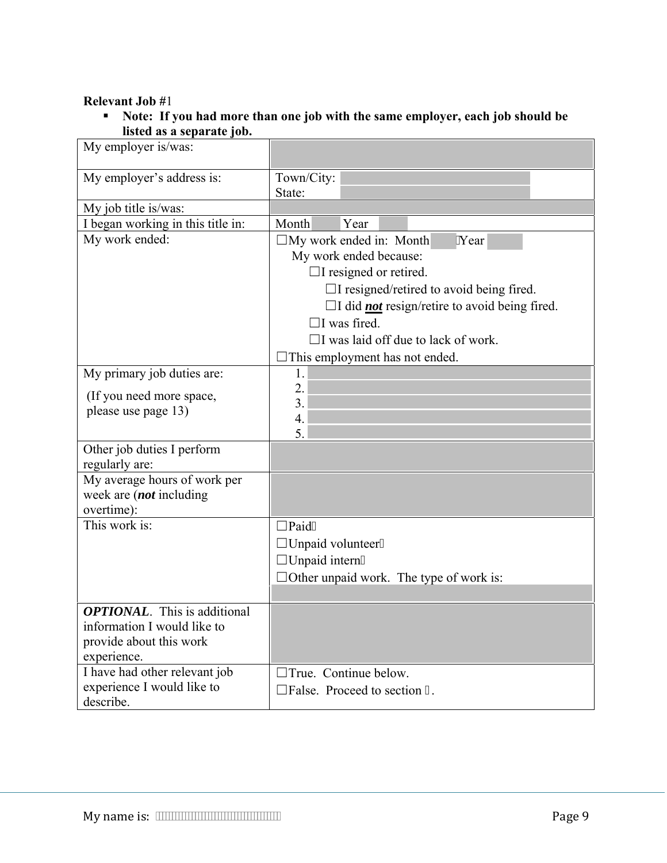#### **Relevant Job #**1

 **Note: If you had more than one job with the same employer, each job should be listed as a separate job.** 

| My employer is/was:                                                                                          |                                                                                                                                                                                                         |                                                                                                                         |
|--------------------------------------------------------------------------------------------------------------|---------------------------------------------------------------------------------------------------------------------------------------------------------------------------------------------------------|-------------------------------------------------------------------------------------------------------------------------|
| My employer's address is:                                                                                    | Town/City:<br>State:                                                                                                                                                                                    |                                                                                                                         |
| My job title is/was:                                                                                         |                                                                                                                                                                                                         |                                                                                                                         |
| I began working in this title in:                                                                            | Month<br>Year                                                                                                                                                                                           |                                                                                                                         |
| My work ended:                                                                                               | $\Box$ My work ended in: Month<br>My work ended because:<br>$\Box$ I resigned or retired.<br>$\Box$ I was fired.<br>$\Box$ I was laid off due to lack of work.<br>$\Box$ This employment has not ended. | 'Year<br>$\Box$ I resigned/retired to avoid being fired.<br>$\Box$ I did <i>not</i> resign/retire to avoid being fired. |
| My primary job duties are:                                                                                   | 1.                                                                                                                                                                                                      |                                                                                                                         |
| (If you need more space,<br>please use page 13)                                                              | 2.<br>3.<br>4.<br>5.                                                                                                                                                                                    |                                                                                                                         |
| Other job duties I perform<br>regularly are:                                                                 |                                                                                                                                                                                                         |                                                                                                                         |
| My average hours of work per<br>week are <i>(not</i> including<br>overtime):                                 |                                                                                                                                                                                                         |                                                                                                                         |
| This work is:                                                                                                | $\square$ Paid0<br>$\Box$ Unpaid volunteer0<br>$\Box$ Unpaid intern0<br>$\Box$ Other unpaid work. The type of work is:                                                                                  |                                                                                                                         |
| <b>OPTIONAL.</b> This is additional<br>information I would like to<br>provide about this work<br>experience. |                                                                                                                                                                                                         |                                                                                                                         |
| I have had other relevant job<br>experience I would like to<br>describe.                                     | $\Box$ True. Continue below.<br>$\Box$ False. Proceed to section;                                                                                                                                       |                                                                                                                         |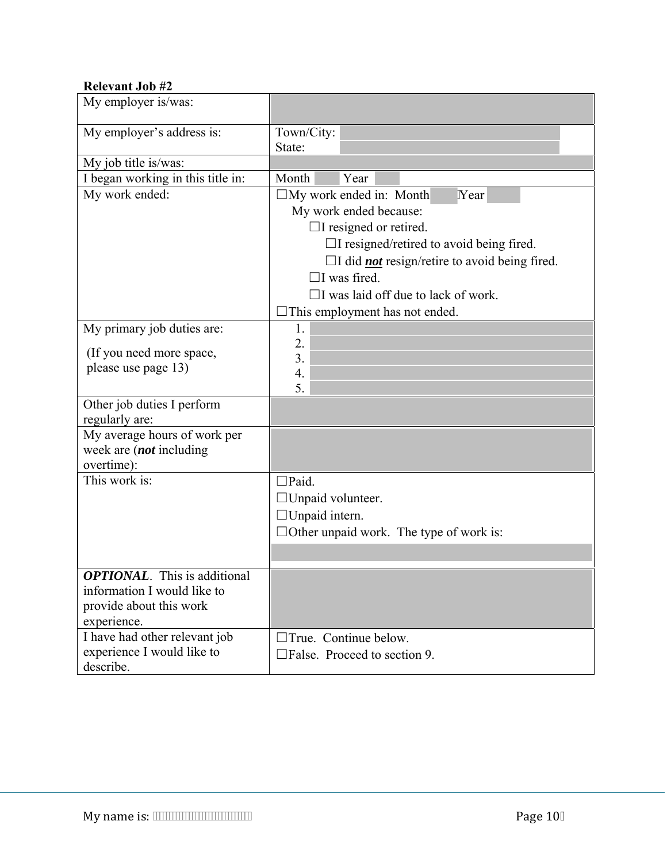#### **Relevant Job #2**

| My employer is/was:                                                                                           |                                                                                                                                                                                                                                                                                                                            |
|---------------------------------------------------------------------------------------------------------------|----------------------------------------------------------------------------------------------------------------------------------------------------------------------------------------------------------------------------------------------------------------------------------------------------------------------------|
| My employer's address is:                                                                                     | Town/City:<br>State:                                                                                                                                                                                                                                                                                                       |
| My job title is/was:                                                                                          |                                                                                                                                                                                                                                                                                                                            |
| I began working in this title in:                                                                             | Month<br>Year                                                                                                                                                                                                                                                                                                              |
| My work ended:                                                                                                | $\Box$ My work ended in: Month<br>Year<br>My work ended because:<br>$\Box$ I resigned or retired.<br>$\Box$ I resigned/retired to avoid being fired.<br>$\Box$ I did <i>not</i> resign/retire to avoid being fired.<br>$\Box$ I was fired.<br>$\Box$ I was laid off due to lack of work.<br>This employment has not ended. |
| My primary job duties are:<br>(If you need more space,<br>please use page 13)                                 | 1.<br>2.<br>3.<br>4.<br>5.                                                                                                                                                                                                                                                                                                 |
| Other job duties I perform<br>regularly are:                                                                  |                                                                                                                                                                                                                                                                                                                            |
| My average hours of work per<br>week are (not including<br>overtime):                                         |                                                                                                                                                                                                                                                                                                                            |
| This work is:                                                                                                 | $\square$ Paid.<br>$\Box$ Unpaid volunteer.<br>$\Box$ Unpaid intern.<br>$\Box$ Other unpaid work. The type of work is:                                                                                                                                                                                                     |
| <b>OPTIONAL</b> . This is additional<br>information I would like to<br>provide about this work<br>experience. |                                                                                                                                                                                                                                                                                                                            |
| I have had other relevant job<br>experience I would like to<br>describe.                                      | $\Box$ True. Continue below.<br>$\Box$ False. Proceed to section 9.                                                                                                                                                                                                                                                        |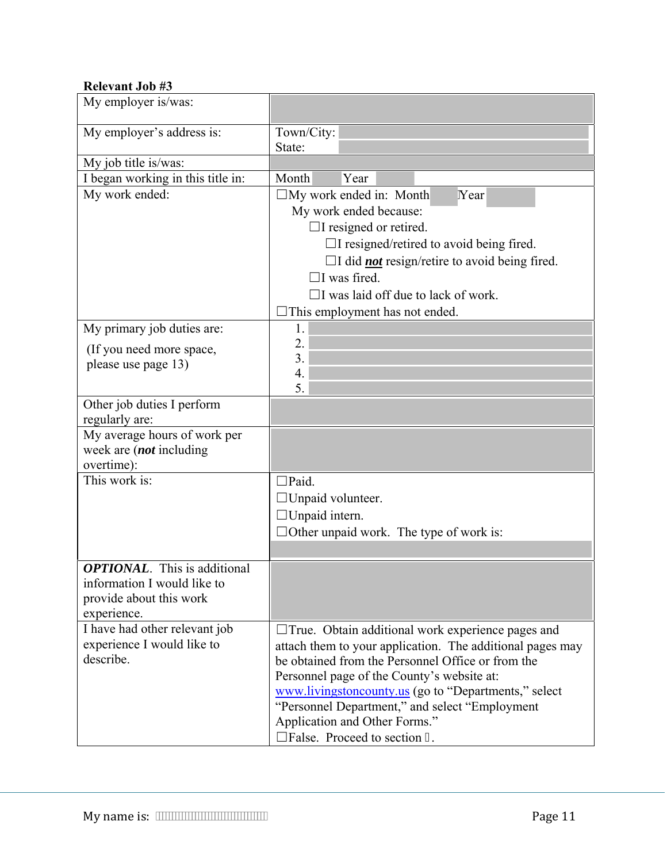#### **Relevant Job #3**

| My employer is/was:                             |                                                             |
|-------------------------------------------------|-------------------------------------------------------------|
| My employer's address is:                       | Town/City:<br>State:                                        |
| My job title is/was:                            |                                                             |
| I began working in this title in:               | Month<br>Year                                               |
| My work ended:                                  | $\Box$ My work ended in: Month<br>Year                      |
|                                                 | My work ended because:                                      |
|                                                 | $\Box$ I resigned or retired.                               |
|                                                 | $\Box$ I resigned/retired to avoid being fired.             |
|                                                 | $\Box$ I did <i>not</i> resign/retire to avoid being fired. |
|                                                 | $\Box$ I was fired.                                         |
|                                                 | $\Box$ I was laid off due to lack of work.                  |
|                                                 | This employment has not ended.                              |
| My primary job duties are:                      | 1.                                                          |
|                                                 | 2.                                                          |
| (If you need more space,<br>please use page 13) | 3.                                                          |
|                                                 | 4.                                                          |
|                                                 | 5.                                                          |
| Other job duties I perform                      |                                                             |
| regularly are:                                  |                                                             |
| My average hours of work per                    |                                                             |
| week are (not including                         |                                                             |
| overtime):<br>This work is:                     | $\square$ Paid.                                             |
|                                                 |                                                             |
|                                                 | $\Box$ Unpaid volunteer.                                    |
|                                                 | $\Box$ Unpaid intern.                                       |
|                                                 | $\Box$ Other unpaid work. The type of work is:              |
|                                                 |                                                             |
| <b>OPTIONAL.</b> This is additional             |                                                             |
| information I would like to                     |                                                             |
| provide about this work<br>experience.          |                                                             |
| I have had other relevant job                   | $\Box$ True. Obtain additional work experience pages and    |
| experience I would like to                      | attach them to your application. The additional pages may   |
| describe.                                       | be obtained from the Personnel Office or from the           |
|                                                 | Personnel page of the County's website at:                  |
|                                                 | www.livingstoncounty.us (go to "Departments," select        |
|                                                 | "Personnel Department," and select "Employment              |
|                                                 | Application and Other Forms."                               |
|                                                 | $\Box$ False. Proceed to section;                           |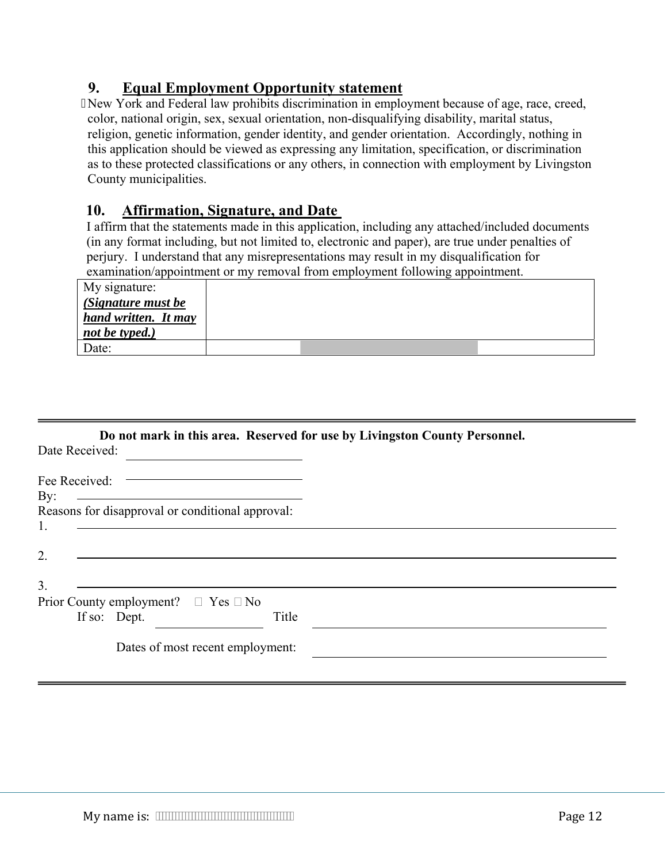## **9. Equal Employment Opportunity statement**

 New York and Federal law prohibits discrimination in employment because of age, race, creed, color, national origin, sex, sexual orientation, non-disqualifying disability, marital status, religion, genetic information, gender identity, and gender orientation. Accordingly, nothing in this application should be viewed as expressing any limitation, specification, or discrimination as to these protected classifications or any others, in connection with employment by Livingston County municipalities.

### **10. Affirmation, Signature, and Date**

I affirm that the statements made in this application, including any attached/included documents (in any format including, but not limited to, electronic and paper), are true under penalties of perjury. I understand that any misrepresentations may result in my disqualification for examination/appointment or my removal from employment following appointment.

| My signature:        |  |  |
|----------------------|--|--|
| (Signature must be   |  |  |
| hand written. It may |  |  |
| not be typed.)       |  |  |
| Date:                |  |  |

| Do not mark in this area. Reserved for use by Livingston County Personnel. |  |  |
|----------------------------------------------------------------------------|--|--|
|                                                                            |  |  |

| Date Received: |  |  |
|----------------|--|--|
|                |  |  |

| Fee Received:                                                                                                               |       |
|-----------------------------------------------------------------------------------------------------------------------------|-------|
| By:<br><u> 1989 - Jan Samuel Barbara, margaret e populazion del control del control del control del control de la provi</u> |       |
| Reasons for disapproval or conditional approval:                                                                            |       |
|                                                                                                                             |       |
|                                                                                                                             |       |
| $\overline{2}$                                                                                                              |       |
|                                                                                                                             |       |
| 3                                                                                                                           |       |
| Prior County employment? $\Box$ Yes $\Box$ No                                                                               |       |
| If so: Dept.                                                                                                                | Title |
|                                                                                                                             |       |
| Dates of most recent employment:                                                                                            |       |